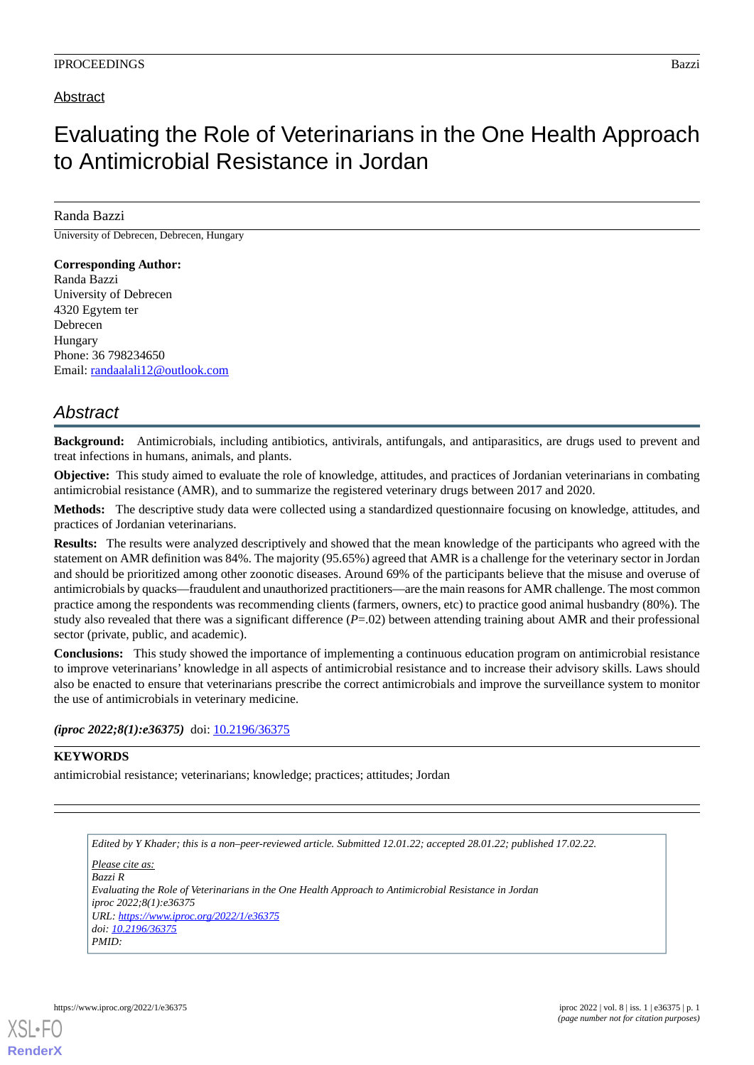### Abstract

# Evaluating the Role of Veterinarians in the One Health Approach to Antimicrobial Resistance in Jordan

#### Randa Bazzi

University of Debrecen, Debrecen, Hungary

#### **Corresponding Author:** Randa Bazzi University of Debrecen 4320 Egytem ter Debrecen Hungary Phone: 36 798234650 Email: [randaalali12@outlook.com](mailto:randaalali12@outlook.com)

## *Abstract*

**Background:** Antimicrobials, including antibiotics, antivirals, antifungals, and antiparasitics, are drugs used to prevent and treat infections in humans, animals, and plants.

**Objective:** This study aimed to evaluate the role of knowledge, attitudes, and practices of Jordanian veterinarians in combating antimicrobial resistance (AMR), and to summarize the registered veterinary drugs between 2017 and 2020.

**Methods:** The descriptive study data were collected using a standardized questionnaire focusing on knowledge, attitudes, and practices of Jordanian veterinarians.

**Results:** The results were analyzed descriptively and showed that the mean knowledge of the participants who agreed with the statement on AMR definition was 84%. The majority (95.65%) agreed that AMR is a challenge for the veterinary sector in Jordan and should be prioritized among other zoonotic diseases. Around 69% of the participants believe that the misuse and overuse of antimicrobials by quacks—fraudulent and unauthorized practitioners—are the main reasons for AMR challenge. The most common practice among the respondents was recommending clients (farmers, owners, etc) to practice good animal husbandry (80%). The study also revealed that there was a significant difference (*P*=.02) between attending training about AMR and their professional sector (private, public, and academic).

**Conclusions:** This study showed the importance of implementing a continuous education program on antimicrobial resistance to improve veterinarians' knowledge in all aspects of antimicrobial resistance and to increase their advisory skills. Laws should also be enacted to ensure that veterinarians prescribe the correct antimicrobials and improve the surveillance system to monitor the use of antimicrobials in veterinary medicine.

*(iproc 2022;8(1):e36375)* doi:  $10.2196/36375$ 

#### **KEYWORDS**

antimicrobial resistance; veterinarians; knowledge; practices; attitudes; Jordan

*Edited by Y Khader; this is a non–peer-reviewed article. Submitted 12.01.22; accepted 28.01.22; published 17.02.22. Please cite as: Bazzi R Evaluating the Role of Veterinarians in the One Health Approach to Antimicrobial Resistance in Jordan iproc 2022;8(1):e36375 URL: <https://www.iproc.org/2022/1/e36375> doi: [10.2196/36375](http://dx.doi.org/10.2196/36375) PMID:*